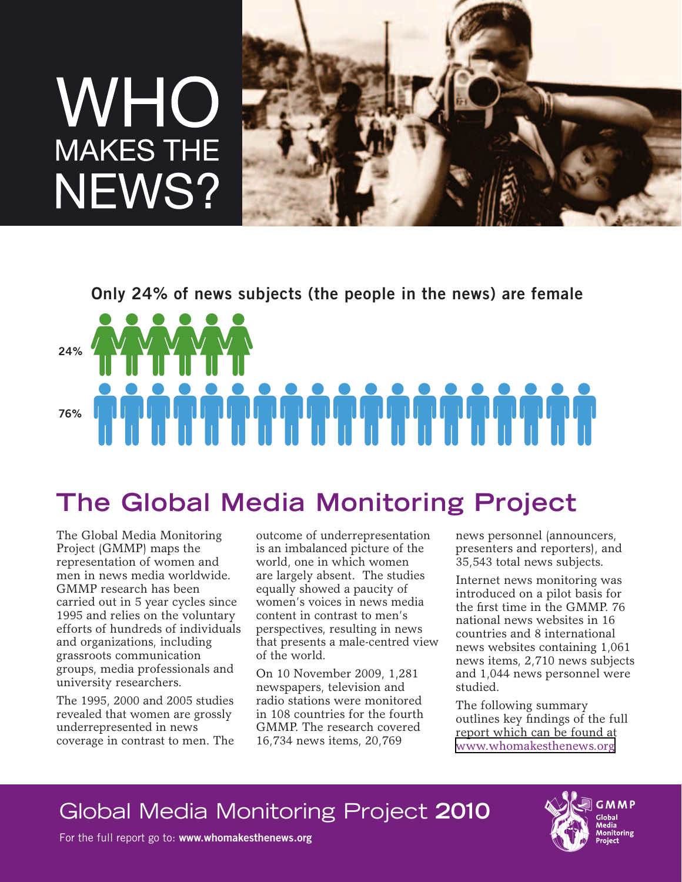# WHO **MAKES THE** NEWS?



**Only 24% of news subjects (the people in the news) are female**

**24%**

# **76%**

# **The Global Media Monitoring Project**

The Global Media Monitoring Project (GMMP) maps the representation of women and men in news media worldwide. GMMP research has been carried out in 5 year cycles since 1995 and relies on the voluntary efforts of hundreds of individuals and organizations, including grassroots communication groups, media professionals and university researchers.

The 1995, 2000 and 2005 studies revealed that women are grossly underrepresented in news coverage in contrast to men. The

outcome of underrepresentation is an imbalanced picture of the world, one in which women are largely absent. The studies equally showed a paucity of women's voices in news media content in contrast to men's perspectives, resulting in news that presents a male-centred view of the world.

On 10 November 2009, 1,281 newspapers, television and radio stations were monitored in 108 countries for the fourth GMMP. The research covered 16,734 news items, 20,769

news personnel (announcers, presenters and reporters), and 35,543 total news subjects.

Internet news monitoring was introduced on a pilot basis for the first time in the GMMP. 76 national news websites in 16 countries and 8 international news websites containing 1,061 news items, 2,710 news subjects and 1,044 news personnel were studied.

The following summary outlines key findings of the full report which can be found at [www.whomakesthenews.org](http://www.whomakesthenews.org/)

# Global Media Monitoring Project **2010**

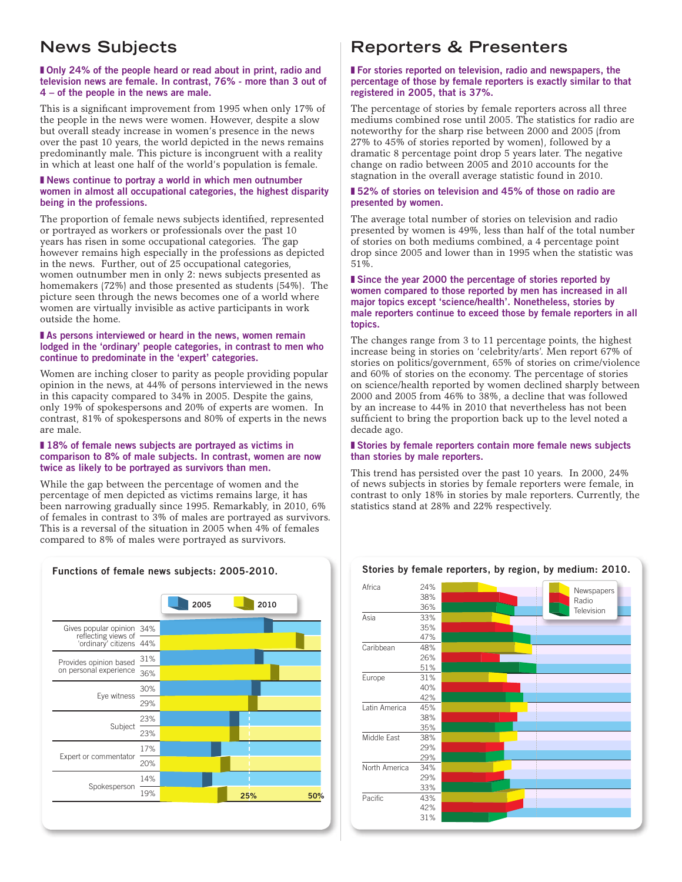## **News Subjects**

#### ■ Only 24% of the people heard or read about in print, radio and **television news are female. In contrast, 76% - more than 3 out of 4 – of the people in the news are male.**

This is a significant improvement from 1995 when only 17% of the people in the news were women. However, despite a slow but overall steady increase in women's presence in the news over the past 10 years, the world depicted in the news remains predominantly male. This picture is incongruent with a reality in which at least one half of the world's population is female.

#### ■ **News continue to portray a world in which men outnumber women in almost all occupational categories, the highest disparity being in the professions.**

The proportion of female news subjects identified, represented or portrayed as workers or professionals over the past 10 years has risen in some occupational categories. The gap however remains high especially in the professions as depicted in the news. Further, out of 25 occupational categories, women outnumber men in only 2: news subjects presented as homemakers (72%) and those presented as students (54%). The picture seen through the news becomes one of a world where women are virtually invisible as active participants in work outside the home.

#### ■ As persons interviewed or heard in the news, women remain **lodged in the 'ordinary' people categories, in contrast to men who continue to predominate in the 'expert' categories.**

Women are inching closer to parity as people providing popular opinion in the news, at 44% of persons interviewed in the news in this capacity compared to 34% in 2005. Despite the gains, only 19% of spokespersons and 20% of experts are women. In contrast, 81% of spokespersons and 80% of experts in the news are male.

#### ■ 18% of female news subjects are portrayed as victims in **comparison to 8% of male subjects. In contrast, women are now twice as likely to be portrayed as survivors than men.**

While the gap between the percentage of women and the percentage of men depicted as victims remains large, it has been narrowing gradually since 1995. Remarkably, in 2010, 6% of females in contrast to 3% of males are portrayed as survivors. This is a reversal of the situation in 2005 when 4% of females compared to 8% of males were portrayed as survivors.



## **Reporters & Presenters**

#### ■ **For stories reported on television, radio and newspapers, the percentage of those by female reporters is exactly similar to that registered in 2005, that is 37%.**

The percentage of stories by female reporters across all three mediums combined rose until 2005. The statistics for radio are noteworthy for the sharp rise between 2000 and 2005 (from 27% to 45% of stories reported by women), followed by a dramatic 8 percentage point drop 5 years later. The negative change on radio between 2005 and 2010 accounts for the stagnation in the overall average statistic found in 2010.

#### ■ 52% of stories on television and 45% of those on radio are **presented by women.**

The average total number of stories on television and radio presented by women is 49%, less than half of the total number of stories on both mediums combined, a 4 percentage point drop since 2005 and lower than in 1995 when the statistic was 51%.

#### ■ Since the year 2000 the percentage of stories reported by **women compared to those reported by men has increased in all major topics except 'science/health'. Nonetheless, stories by male reporters continue to exceed those by female reporters in all topics.**

The changes range from 3 to 11 percentage points, the highest increase being in stories on 'celebrity/arts'. Men report 67% of stories on politics/government, 65% of stories on crime/violence and 60% of stories on the economy. The percentage of stories on science/health reported by women declined sharply between 2000 and 2005 from 46% to 38%, a decline that was followed by an increase to 44% in 2010 that nevertheless has not been sufficient to bring the proportion back up to the level noted a decade ago.

#### ❚ **Stories by female reporters contain more female news subjects than stories by male reporters.**

This trend has persisted over the past 10 years. In 2000, 24% of news subjects in stories by female reporters were female, in contrast to only 18% in stories by male reporters. Currently, the statistics stand at 28% and 22% respectively.



#### **Stories by female reporters, by region, by medium: 2010.**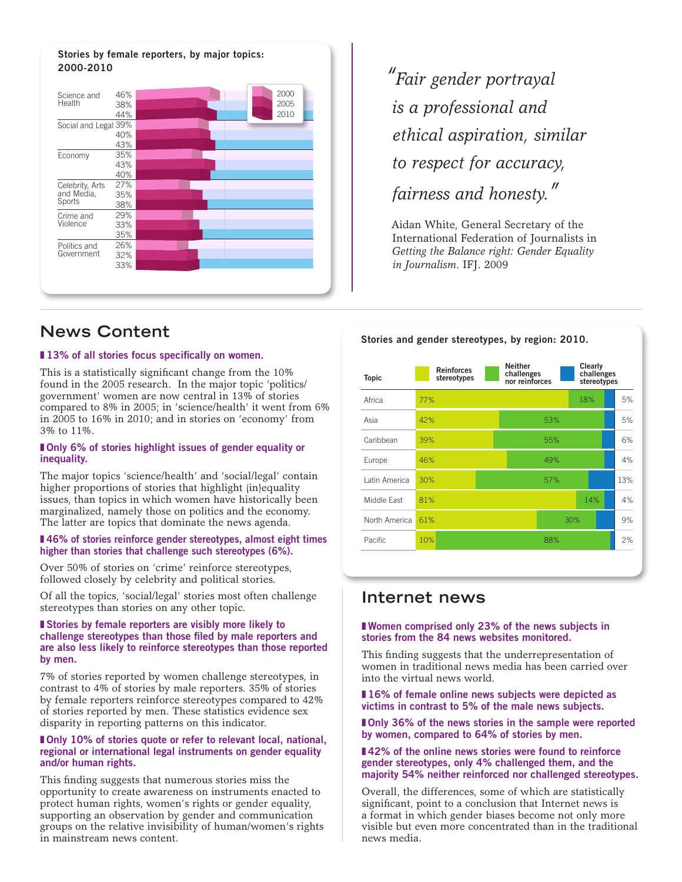#### **Stories by female reporters, by major topics: 2000-2010**



*"Fair gender portrayal is a professional and ethical aspiration, similar to respect for accuracy, fairness and honesty."*

Aidan White, General Secretary of the International Federation of Journalists in *Getting the Balance right: Gender Equality in Journalism*. IFJ. 2009

**Stories and gender stereotypes, by region: 2010.**

### **News Content**

#### ■ 13% of all stories focus specifically on women.

This is a statistically significant change from the 10% found in the 2005 research. In the major topic 'politics/ government' women are now central in 13% of stories compared to 8% in 2005; in 'science/health' it went from 6% in 2005 to 16% in 2010; and in stories on 'economy' from 3% to 11%.

#### ■ Only 6% of stories highlight issues of gender equality or **inequality.**

The major topics 'science/health' and 'social/legal' contain higher proportions of stories that highlight (in)equality issues, than topics in which women have historically been marginalized, namely those on politics and the economy. The latter are topics that dominate the news agenda.

#### ■ 46% of stories reinforce gender stereotypes, almost eight times **higher than stories that challenge such stereotypes (6%).**

Over 50% of stories on 'crime' reinforce stereotypes, followed closely by celebrity and political stories.

Of all the topics, 'social/legal' stories most often challenge stereotypes than stories on any other topic.

#### ■ Stories by female reporters are visibly more likely to **challenge stereotypes than those filed by male reporters and are also less likely to reinforce stereotypes than those reported by men.**

7% of stories reported by women challenge stereotypes, in contrast to 4% of stories by male reporters. 35% of stories by female reporters reinforce stereotypes compared to 42% of stories reported by men. These statistics evidence sex disparity in reporting patterns on this indicator.

#### ■ Only 10% of stories quote or refer to relevant local, national, **regional or international legal instruments on gender equality and/or human rights.**

This finding suggests that numerous stories miss the opportunity to create awareness on instruments enacted to protect human rights, women's rights or gender equality, supporting an observation by gender and communication groups on the relative invisibility of human/women's rights in mainstream news content.

| <b>Topic</b>  | <b>Reinforces</b><br>stereotypes | <b>Neither</b><br>challenges<br>nor reinforces | Clearly<br>challenges<br>stereotypes |     |
|---------------|----------------------------------|------------------------------------------------|--------------------------------------|-----|
| Africa        | 77%                              |                                                | 18%                                  | 5%  |
| Asia          | 42%                              | 53%                                            |                                      | 5%  |
| Caribbean     | 39%                              | 55%                                            |                                      | 6%  |
| Europe        | 46%                              | 49%                                            |                                      | 4%  |
| Latin America | 30%                              | 57%                                            |                                      | 13% |
| Middle Fast   | 81%                              |                                                | 14%                                  | 4%  |
| North America | 61%                              |                                                | 30%                                  | 9%  |
| Pacific       | 10%                              | 88%                                            |                                      | 2%  |

### **Internet news**

#### ■ **Women comprised only 23% of the news subjects in stories from the 84 news websites monitored.**

This finding suggests that the underrepresentation of women in traditional news media has been carried over into the virtual news world.

■ 16% of female online news subjects were depicted as **victims in contrast to 5% of the male news subjects.** 

■ Only 36% of the news stories in the sample were reported **by women, compared to 64% of stories by men.** 

#### ■42% of the online news stories were found to reinforce **gender stereotypes, only 4% challenged them, and the majority 54% neither reinforced nor challenged stereotypes.**

Overall, the differences, some of which are statistically significant, point to a conclusion that Internet news is a format in which gender biases become not only more visible but even more concentrated than in the traditional news media.